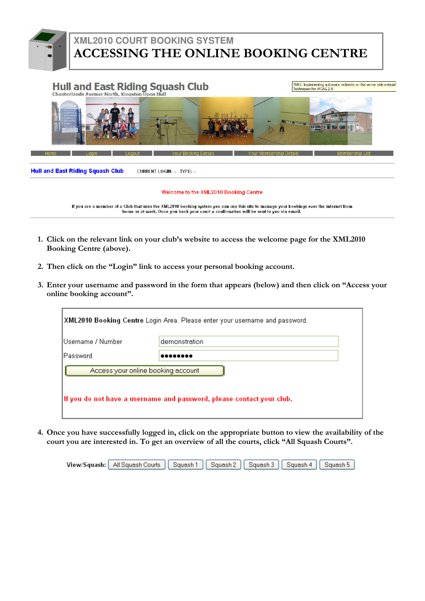- 1. Click on the relevant link on your club's website to access the welcome page for the XML2010 Booking Centre (above).
- 2. Then click on the "Login" link to access your personal booking account.
- 3. Enter your username and password in the form that appears (below) and then click on "Access your online booking account".

|                   | XML2010 Booking Centre Login Area. Please enter your username and password. |  |
|-------------------|-----------------------------------------------------------------------------|--|
| Username / Number | demonstration                                                               |  |
| Password          | .                                                                           |  |
|                   | Access your online booking account                                          |  |
|                   | If you do not have a username and password, please contact your club.       |  |

4. Once you have successfully logged in, click on the appropriate button to view the availability of the court you are interested in. To get an overview of all the courts, click "All Squash Courts".





# **XML2010 COURT BOOKING SYSTEM** ACCESSING THE ONLINE BOOKING CENTRE



#### Welcome to the XML2010 Booking Centre

If you are a member of a Club that uses the XML2010 booking system you can use this site to manage your bookings over the internet from home or at work. Once you book your court a confirmation will be sent to you via email.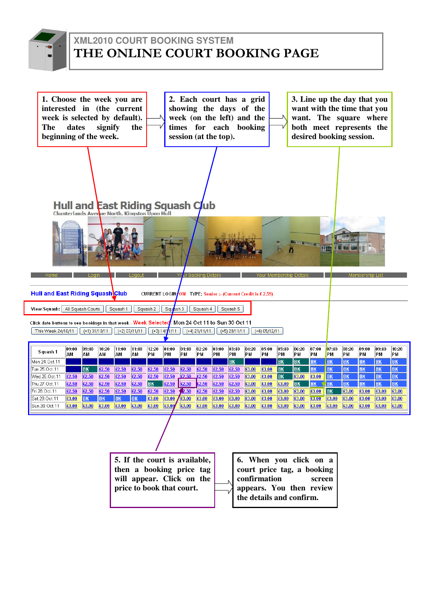

# **XML2010 COURT BOOKING SYSTEM** THE ONLINE COURT BOOKING PAGE

| 1. Choose the week you are<br>interested in (the current<br>week is selected by default).<br><b>The</b><br>beginning of the week. | dates                                                                                    |             | signify         |             | the             |                                                                         |                | session (at the top).               |                              |             |                 | 2. Each court has a grid<br>showing the days of the<br>week (on the left) and the<br>times for each booking |                 |                    |                | 3. Line up the day that you<br>want with the time that you<br>want. The square where<br>both meet represents the<br>desired booking session. |             |             |                 |             |                |
|-----------------------------------------------------------------------------------------------------------------------------------|------------------------------------------------------------------------------------------|-------------|-----------------|-------------|-----------------|-------------------------------------------------------------------------|----------------|-------------------------------------|------------------------------|-------------|-----------------|-------------------------------------------------------------------------------------------------------------|-----------------|--------------------|----------------|----------------------------------------------------------------------------------------------------------------------------------------------|-------------|-------------|-----------------|-------------|----------------|
|                                                                                                                                   |                                                                                          |             |                 |             |                 |                                                                         |                |                                     |                              |             |                 |                                                                                                             |                 |                    |                |                                                                                                                                              |             |             |                 |             |                |
|                                                                                                                                   | <b>Hull and East Riding Squash Club</b><br>Chanterlands Avenue North, Kingston Upon Hull |             |                 |             |                 |                                                                         |                |                                     |                              |             |                 |                                                                                                             |                 |                    |                |                                                                                                                                              |             |             |                 |             |                |
| Hull and East Riding Squash Club<br>View/Squash: All Squash Courts                                                                |                                                                                          |             |                 | Squash 1    | l nani.         | CURRENT LOGIN/OM TYPE: Senior :- (Current Credit is £ 2.59)<br>Squash 2 | Squash 3       | Yo <mark>ur Booking Detail</mark> s | Squash 4                     |             | Squash 5        |                                                                                                             |                 | lembership Detail: |                |                                                                                                                                              |             |             | Membership List |             |                |
| Click date buttons to see bookings in that week - Week Selected: Mon 24 Oct 11 to Sun 30 Oct 11                                   |                                                                                          |             |                 |             |                 |                                                                         |                |                                     |                              |             |                 |                                                                                                             |                 |                    |                |                                                                                                                                              |             |             |                 |             |                |
| This Week 24/10/11                                                                                                                |                                                                                          |             | $(+1)$ 31/10/11 |             | $(+2)$ 07/11/11 |                                                                         | $(+3)$ 14/1/11 |                                     | $\left( +4 \right) 21/11/11$ |             | $(+5)$ 28/11/11 |                                                                                                             | $(+6)$ 05/12/11 |                    |                |                                                                                                                                              |             |             |                 |             |                |
|                                                                                                                                   |                                                                                          |             |                 |             |                 |                                                                         |                |                                     |                              |             |                 |                                                                                                             |                 |                    |                |                                                                                                                                              |             |             |                 |             |                |
| Squash 1                                                                                                                          | 09:00<br>AM                                                                              | 09:40<br>AM | 10:20<br>AM     | 11:00<br>AM | 11:40<br>AM     | 12:20<br>PM                                                             | 01:00<br>∣PΜ   | 01:40<br>PM                         | 02:20<br>PM                  | 03:00<br>PM | 03:40<br>PM     | 04:20<br>PM                                                                                                 | 05:00<br>PМ     | 05:40<br>PM        | 06:20<br>PM    | 07:00<br>PM                                                                                                                                  | 07:40<br>PM | 08:20<br>PM | 09:00<br>PM     | 09:40<br>PM | 10:20<br>PМ    |
| Mon.24.Oct.11                                                                                                                     |                                                                                          |             |                 |             |                 |                                                                         |                |                                     |                              |             | B <sub>K</sub>  |                                                                                                             |                 | <b>BK</b>          | B <sub>K</sub> | <b>BK</b>                                                                                                                                    | BK          | <b>BK</b>   | <b>BK</b>       | <b>BK</b>   | <b>BK</b>      |
| Tue.25.Oct.11                                                                                                                     |                                                                                          | BK          | £2.50           | £2.50       | £2.50           | £2.50                                                                   | £2.50          | £2.50                               | £2.50                        | £2.50       | £2.50           | £3.00                                                                                                       | £3.00           | <b>BK</b>          | <b>BK</b>      | <b>BK</b>                                                                                                                                    | <b>BK</b>   | <b>BK</b>   | <b>BK</b>       | <b>BK</b>   | <u>BK</u>      |
| Wed.26.Oct.11                                                                                                                     | £2.50                                                                                    | £2.50       | £2.50           | £2.50       | £2.50           | £2.50                                                                   | £2.50          | £2.50                               | £2.50                        | £2.50       | £2.50           | £3.00                                                                                                       | £3.00           | <b>BK</b>          | £3.00          | £3.00                                                                                                                                        | <b>BK</b>   | <b>BK</b>   | <b>BK</b>       | <b>BK</b>   | B <sub>K</sub> |
| Thu.27. Oct.11                                                                                                                    | £2.50                                                                                    | £2.50       | £2.50           | £2.50       | £2.50           | <b>BK</b>                                                               | £2.50          | £2.50                               | £2.50                        | £2.50       | £2.50           | £3.00                                                                                                       | £3.00           | £3.00              | <b>BK</b>      | <b>BK</b>                                                                                                                                    | <b>BK</b>   | <b>BK</b>   | <b>BK</b>       | <b>BK</b>   | <b>BK</b>      |
| Fri.28.Oct.11                                                                                                                     | £2.50                                                                                    | £2.50       | £2.50           | £2.50       | £2.50           | £2.50                                                                   | £2.50          | 2.50                                | £2.50                        | £2.50       | £2.50           | £3.00                                                                                                       | £3.00           | £3.00              | £3.00          | £3.00                                                                                                                                        | <b>BK</b>   | £3.00       | £3.00           | £3.00       | £3.00          |
| Sat.29.Oct.11                                                                                                                     | £3.00                                                                                    | <b>BK</b>   | <b>BK</b>       | <b>BK</b>   | <b>BK</b>       | £3.00                                                                   | £3.00          | £3.00                               | £3.00                        | £3.00       | £3.00           | £3.00                                                                                                       | £3.00           | £3.00              | £3.00          | £3.00                                                                                                                                        | £3.00       | £3.00       | £3.00           | £3.00       | £3.00          |
| Sun.30.Oct.11                                                                                                                     | £3.00                                                                                    | £3.00       | £3.00           | £3.00       | £3.00           | £3.00                                                                   | £3.00          | £3.00                               | £3.00                        | £3.00       | £3.00           | £3.00                                                                                                       | £3.00           | £3.00              | £3.00          | £3.00                                                                                                                                        | £3.00       | £3.00       | £3.00           | £3.00       | £3.00          |
|                                                                                                                                   |                                                                                          |             |                 |             |                 |                                                                         |                |                                     |                              |             |                 |                                                                                                             |                 |                    |                |                                                                                                                                              |             |             |                 |             |                |

**6. When you click on a 5. If the court is available, then a booking price tag court price tag, a booking will appear. Click on the**  confirmation  $\overline{\mathcal{N}}$ **appears. You then review price to book that court. the details and confirm.**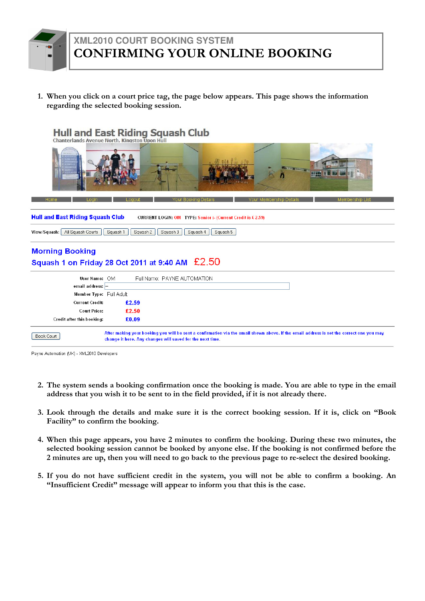1. When you click on a court price tag, the page below appears. This page shows the information regarding the selected booking session.



Payne Automation (UK) - XML2010 Developers

- 2. The system sends a booking confirmation once the booking is made. You are able to type in the email address that you wish it to be sent to in the field provided, if it is not already there.
- 3. Look through the details and make sure it is the correct booking session. If it is, click on "Book Facility" to confirm the booking.
- 4. When this page appears, you have 2 minutes to confirm the booking. During these two minutes, the selected booking session cannot be booked by anyone else. If the booking is not confirmed before the

2 minutes are up, then you will need to go back to the previous page to re-select the desired booking.

5. If you do not have sufficient credit in the system, you will not be able to confirm a booking. An "Insufficient Credit" message will appear to inform you that this is the case.



## **XML2010 COURT BOOKING SYSTEM** CONFIRMING YOUR ONLINE BOOKING